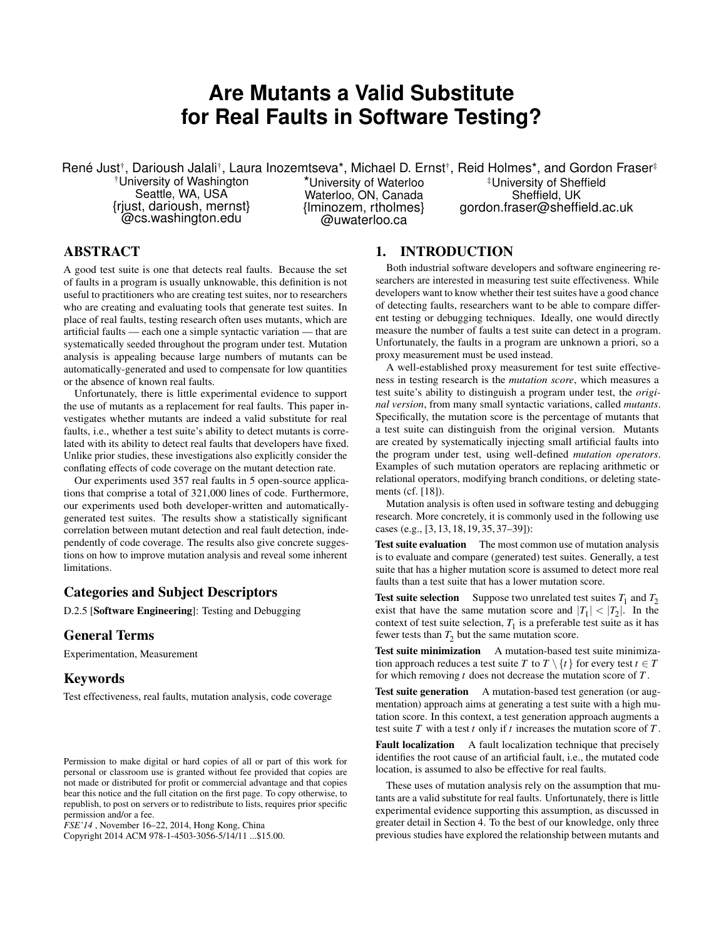# **Are Mutants a Valid Substitute for Real Faults in Software Testing?**

René Just†, Darioush Jalali‡, Laura Inozemtseva\*, Michael D. Ernst†, Reid Holmes\*, and Gordon Fraser‡

†University of Washington Seattle, WA, USA {rjust, darioush, mernst} @cs.washington.edu

\*University of Waterloo Waterloo, ON, Canada {lminozem, rtholmes} @uwaterloo.ca

‡University of Sheffield Sheffield, UK gordon.fraser@sheffield.ac.uk

## ABSTRACT

A good test suite is one that detects real faults. Because the set of faults in a program is usually unknowable, this definition is not useful to practitioners who are creating test suites, nor to researchers who are creating and evaluating tools that generate test suites. In place of real faults, testing research often uses mutants, which are artificial faults — each one a simple syntactic variation — that are systematically seeded throughout the program under test. Mutation analysis is appealing because large numbers of mutants can be automatically-generated and used to compensate for low quantities or the absence of known real faults.

Unfortunately, there is little experimental evidence to support the use of mutants as a replacement for real faults. This paper investigates whether mutants are indeed a valid substitute for real faults, i.e., whether a test suite's ability to detect mutants is correlated with its ability to detect real faults that developers have fixed. Unlike prior studies, these investigations also explicitly consider the conflating effects of code coverage on the mutant detection rate.

Our experiments used 357 real faults in 5 open-source applications that comprise a total of 321,000 lines of code. Furthermore, our experiments used both developer-written and automaticallygenerated test suites. The results show a statistically significant correlation between mutant detection and real fault detection, independently of code coverage. The results also give concrete suggestions on how to improve mutation analysis and reveal some inherent limitations.

## Categories and Subject Descriptors

D.2.5 [Software Engineering]: Testing and Debugging

## General Terms

Experimentation, Measurement

## Keywords

Test effectiveness, real faults, mutation analysis, code coverage

*FSE'14* , November 16–22, 2014, Hong Kong, China

Copyright 2014 ACM 978-1-4503-3056-5/14/11 ...\$15.00.

## <span id="page-0-0"></span>1. INTRODUCTION

Both industrial software developers and software engineering researchers are interested in measuring test suite effectiveness. While developers want to know whether their test suites have a good chance of detecting faults, researchers want to be able to compare different testing or debugging techniques. Ideally, one would directly measure the number of faults a test suite can detect in a program. Unfortunately, the faults in a program are unknown a priori, so a proxy measurement must be used instead.

A well-established proxy measurement for test suite effectiveness in testing research is the *mutation score*, which measures a test suite's ability to distinguish a program under test, the *original version*, from many small syntactic variations, called *mutants*. Specifically, the mutation score is the percentage of mutants that a test suite can distinguish from the original version. Mutants are created by systematically injecting small artificial faults into the program under test, using well-defined *mutation operators*. Examples of such mutation operators are replacing arithmetic or relational operators, modifying branch conditions, or deleting statements (cf. [\[18\]](#page-10-0)).

Mutation analysis is often used in software testing and debugging research. More concretely, it is commonly used in the following use cases (e.g., [\[3,](#page-10-1) [13,](#page-10-2) [18,](#page-10-0) [19,](#page-10-3) [35,](#page-11-0) [37–](#page-11-1)[39\]](#page-11-2)):

Test suite evaluation The most common use of mutation analysis is to evaluate and compare (generated) test suites. Generally, a test suite that has a higher mutation score is assumed to detect more real faults than a test suite that has a lower mutation score.

**Test suite selection** Suppose two unrelated test suites  $T_1$  and  $T_2$ exist that have the same mutation score and  $|T_1| < |T_2|$ . In the context of test suite selection,  $T_1$  is a preferable test suite as it has fewer tests than  $T_2$  but the same mutation score.

Test suite minimization A mutation-based test suite minimization approach reduces a test suite *T* to  $T \setminus \{t\}$  for every test  $t \in T$ for which removing *t* does not decrease the mutation score of *T* .

Test suite generation A mutation-based test generation (or augmentation) approach aims at generating a test suite with a high mutation score. In this context, a test generation approach augments a test suite *T* with a test *t* only if *t* increases the mutation score of *T* .

Fault localization A fault localization technique that precisely identifies the root cause of an artificial fault, i.e., the mutated code location, is assumed to also be effective for real faults.

These uses of mutation analysis rely on the assumption that mutants are a valid substitute for real faults. Unfortunately, there is little experimental evidence supporting this assumption, as discussed in greater detail in Section [4.](#page-8-0) To the best of our knowledge, only three previous studies have explored the relationship between mutants and

Permission to make digital or hard copies of all or part of this work for personal or classroom use is granted without fee provided that copies are not made or distributed for profit or commercial advantage and that copies bear this notice and the full citation on the first page. To copy otherwise, to republish, to post on servers or to redistribute to lists, requires prior specific permission and/or a fee.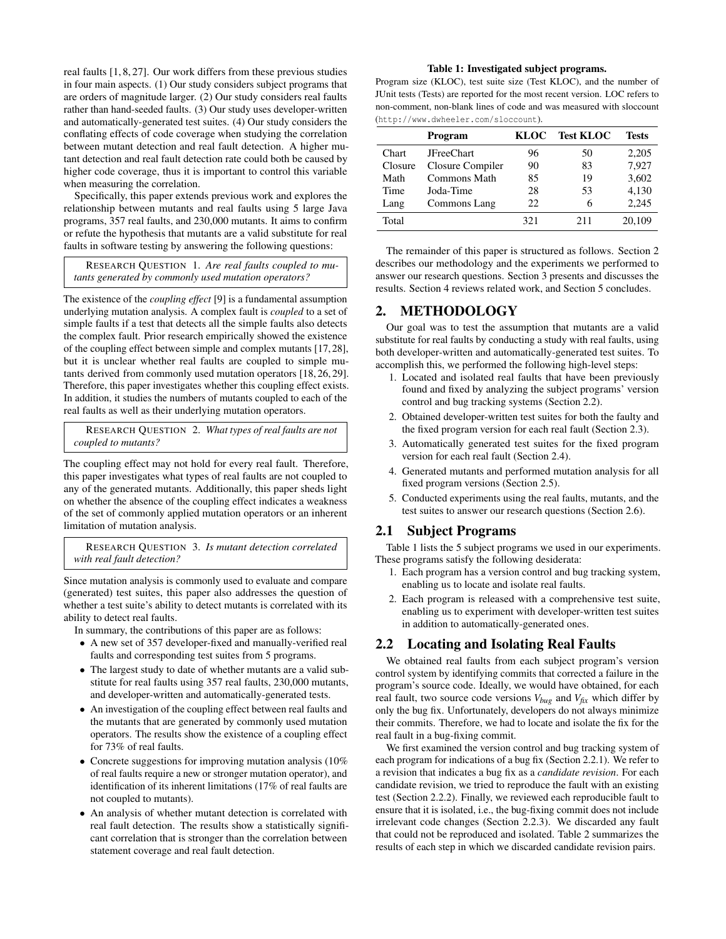real faults [\[1,](#page-10-4) [8,](#page-10-5) [27\]](#page-10-6). Our work differs from these previous studies in four main aspects. (1) Our study considers subject programs that are orders of magnitude larger. (2) Our study considers real faults rather than hand-seeded faults. (3) Our study uses developer-written and automatically-generated test suites. (4) Our study considers the conflating effects of code coverage when studying the correlation between mutant detection and real fault detection. A higher mutant detection and real fault detection rate could both be caused by higher code coverage, thus it is important to control this variable when measuring the correlation.

Specifically, this paper extends previous work and explores the relationship between mutants and real faults using 5 large Java programs, 357 real faults, and 230,000 mutants. It aims to confirm or refute the hypothesis that mutants are a valid substitute for real faults in software testing by answering the following questions:

RESEARCH QUESTION 1. *Are real faults coupled to mutants generated by commonly used mutation operators?*

The existence of the *coupling effect* [\[9\]](#page-10-7) is a fundamental assumption underlying mutation analysis. A complex fault is *coupled* to a set of simple faults if a test that detects all the simple faults also detects the complex fault. Prior research empirically showed the existence of the coupling effect between simple and complex mutants [\[17,](#page-10-8)[28\]](#page-10-9), but it is unclear whether real faults are coupled to simple mutants derived from commonly used mutation operators [\[18,](#page-10-0) [26,](#page-10-10) [29\]](#page-10-11). Therefore, this paper investigates whether this coupling effect exists. In addition, it studies the numbers of mutants coupled to each of the real faults as well as their underlying mutation operators.

RESEARCH QUESTION 2. *What types of real faults are not coupled to mutants?*

The coupling effect may not hold for every real fault. Therefore, this paper investigates what types of real faults are not coupled to any of the generated mutants. Additionally, this paper sheds light on whether the absence of the coupling effect indicates a weakness of the set of commonly applied mutation operators or an inherent limitation of mutation analysis.

RESEARCH QUESTION 3. *Is mutant detection correlated with real fault detection?*

Since mutation analysis is commonly used to evaluate and compare (generated) test suites, this paper also addresses the question of whether a test suite's ability to detect mutants is correlated with its ability to detect real faults.

In summary, the contributions of this paper are as follows:

- A new set of 357 developer-fixed and manually-verified real faults and corresponding test suites from 5 programs.
- The largest study to date of whether mutants are a valid substitute for real faults using 357 real faults, 230,000 mutants, and developer-written and automatically-generated tests.
- An investigation of the coupling effect between real faults and the mutants that are generated by commonly used mutation operators. The results show the existence of a coupling effect for 73% of real faults.
- Concrete suggestions for improving mutation analysis (10% of real faults require a new or stronger mutation operator), and identification of its inherent limitations (17% of real faults are not coupled to mutants).
- An analysis of whether mutant detection is correlated with real fault detection. The results show a statistically significant correlation that is stronger than the correlation between statement coverage and real fault detection.

#### Table 1: Investigated subject programs.

<span id="page-1-2"></span>Program size (KLOC), test suite size (Test KLOC), and the number of JUnit tests (Tests) are reported for the most recent version. LOC refers to non-comment, non-blank lines of code and was measured with sloccount (<http://www.dwheeler.com/sloccount>).

|              | Program           | <b>KLOC</b> | <b>Test KLOC</b> | <b>Tests</b> |
|--------------|-------------------|-------------|------------------|--------------|
| <b>Chart</b> | <b>JFreeChart</b> | 96          | 50               | 2,205        |
| Closure      | Closure Compiler  | 90          | 83               | 7,927        |
| Math         | Commons Math      | 85          | 19               | 3,602        |
| Time         | Joda-Time         | 28          | 53               | 4,130        |
| Lang         | Commons Lang      | 22.         | 6                | 2,245        |
| Total        |                   | 321         | 211              | 20,109       |

The remainder of this paper is structured as follows. Section [2](#page-1-0) describes our methodology and the experiments we performed to answer our research questions. Section [3](#page-5-0) presents and discusses the results. Section [4](#page-8-0) reviews related work, and Section [5](#page-9-0) concludes.

### <span id="page-1-0"></span>2. METHODOLOGY

Our goal was to test the assumption that mutants are a valid substitute for real faults by conducting a study with real faults, using both developer-written and automatically-generated test suites. To accomplish this, we performed the following high-level steps:

- 1. Located and isolated real faults that have been previously found and fixed by analyzing the subject programs' version control and bug tracking systems (Section [2.2\)](#page-1-1).
- 2. Obtained developer-written test suites for both the faulty and the fixed program version for each real fault (Section [2.3\)](#page-2-0).
- 3. Automatically generated test suites for the fixed program version for each real fault (Section [2.4\)](#page-3-0).
- 4. Generated mutants and performed mutation analysis for all fixed program versions (Section [2.5\)](#page-4-0).
- 5. Conducted experiments using the real faults, mutants, and the test suites to answer our research questions (Section [2.6\)](#page-4-1).

### 2.1 Subject Programs

Table [1](#page-1-2) lists the 5 subject programs we used in our experiments. These programs satisfy the following desiderata:

- 1. Each program has a version control and bug tracking system, enabling us to locate and isolate real faults.
- 2. Each program is released with a comprehensive test suite, enabling us to experiment with developer-written test suites in addition to automatically-generated ones.

### <span id="page-1-1"></span>2.2 Locating and Isolating Real Faults

We obtained real faults from each subject program's version control system by identifying commits that corrected a failure in the program's source code. Ideally, we would have obtained, for each real fault, two source code versions  $V_{bug}$  and  $V_{fix}$  which differ by only the bug fix. Unfortunately, developers do not always minimize their commits. Therefore, we had to locate and isolate the fix for the real fault in a bug-fixing commit.

We first examined the version control and bug tracking system of each program for indications of a bug fix (Section [2.2.1\)](#page-2-1). We refer to a revision that indicates a bug fix as a *candidate revision*. For each candidate revision, we tried to reproduce the fault with an existing test (Section [2.2.2\)](#page-2-2). Finally, we reviewed each reproducible fault to ensure that it is isolated, i.e., the bug-fixing commit does not include irrelevant code changes (Section [2.2.3\)](#page-2-3). We discarded any fault that could not be reproduced and isolated. Table [2](#page-2-4) summarizes the results of each step in which we discarded candidate revision pairs.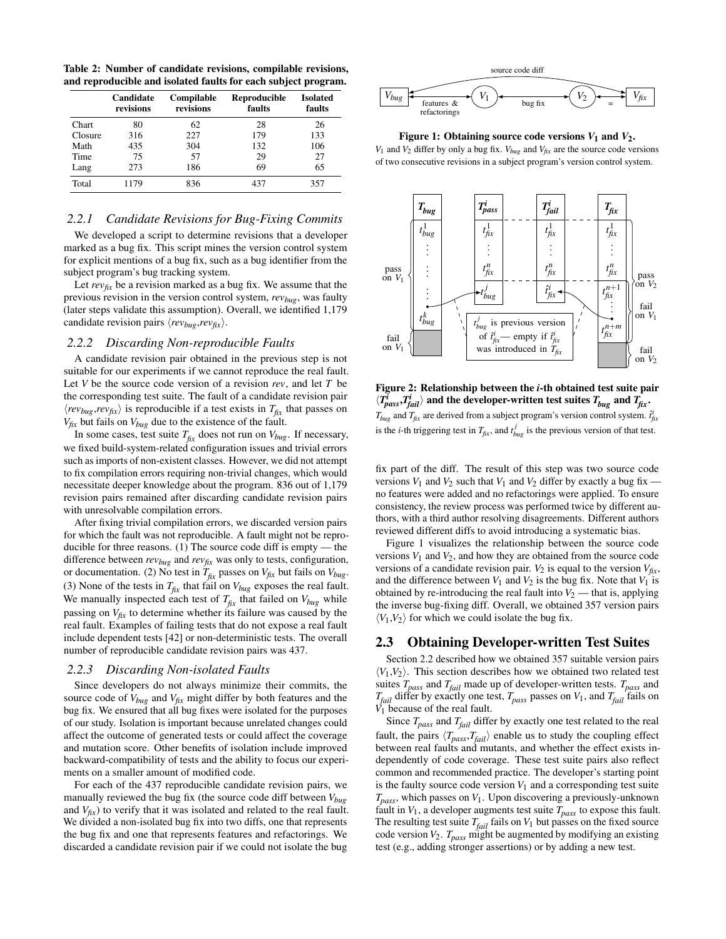<span id="page-2-4"></span>Table 2: Number of candidate revisions, compilable revisions, and reproducible and isolated faults for each subject program.

|         | Candidate<br>revisions | Compilable<br>revisions | Reproducible<br>faults | <b>Isolated</b><br>faults |
|---------|------------------------|-------------------------|------------------------|---------------------------|
| Chart   | 80                     | 62                      | 28                     | 26                        |
| Closure | 316                    | 227                     | 179                    | 133                       |
| Math    | 435                    | 304                     | 132                    | 106                       |
| Time    | 75                     | 57                      | 29                     | 27                        |
| Lang    | 273                    | 186                     | 69                     | 65                        |
| Total   | 1179                   | 836                     | 437                    | 357                       |

#### <span id="page-2-1"></span>*2.2.1 Candidate Revisions for Bug-Fixing Commits*

We developed a script to determine revisions that a developer marked as a bug fix. This script mines the version control system for explicit mentions of a bug fix, such as a bug identifier from the subject program's bug tracking system.

Let  $rev_{fix}$  be a revision marked as a bug fix. We assume that the previous revision in the version control system, *revbug*, was faulty (later steps validate this assumption). Overall, we identified 1,179 candidate revision pairs  $\langle rev_{b\mu\rho}, rev_{f\alpha} \rangle$ .

### <span id="page-2-2"></span>*2.2.2 Discarding Non-reproducible Faults*

A candidate revision pair obtained in the previous step is not suitable for our experiments if we cannot reproduce the real fault. Let *V* be the source code version of a revision *rev*, and let *T* be the corresponding test suite. The fault of a candidate revision pair  $\langle rev_{bug}, rev_{fix} \rangle$  is reproducible if a test exists in  $T_{fix}$  that passes on *Vfix* but fails on *Vbug* due to the existence of the fault.

In some cases, test suite  $T_{fix}$  does not run on  $V_{bug}$ . If necessary, we fixed build-system-related configuration issues and trivial errors such as imports of non-existent classes. However, we did not attempt to fix compilation errors requiring non-trivial changes, which would necessitate deeper knowledge about the program. 836 out of 1,179 revision pairs remained after discarding candidate revision pairs with unresolvable compilation errors.

After fixing trivial compilation errors, we discarded version pairs for which the fault was not reproducible. A fault might not be reproducible for three reasons. (1) The source code diff is empty — the difference between *revbug* and *revfix* was only to tests, configuration, or documentation. (2) No test in  $T_{fix}$  passes on  $V_{fix}$  but fails on  $V_{buy}$ . (3) None of the tests in  $T_{fix}$  that fail on  $V_{bug}$  exposes the real fault. We manually inspected each test of  $T_{fix}$  that failed on  $V_{bug}$  while passing on  $V_{fix}$  to determine whether its failure was caused by the real fault. Examples of failing tests that do not expose a real fault include dependent tests [\[42\]](#page-11-3) or non-deterministic tests. The overall number of reproducible candidate revision pairs was 437.

#### <span id="page-2-3"></span>*2.2.3 Discarding Non-isolated Faults*

Since developers do not always minimize their commits, the source code of  $V_{bug}$  and  $V_{fix}$  might differ by both features and the bug fix. We ensured that all bug fixes were isolated for the purposes of our study. Isolation is important because unrelated changes could affect the outcome of generated tests or could affect the coverage and mutation score. Other benefits of isolation include improved backward-compatibility of tests and the ability to focus our experiments on a smaller amount of modified code.

For each of the 437 reproducible candidate revision pairs, we manually reviewed the bug fix (the source code diff between *Vbug* and  $V_{fix}$ ) to verify that it was isolated and related to the real fault. We divided a non-isolated bug fix into two diffs, one that represents the bug fix and one that represents features and refactorings. We discarded a candidate revision pair if we could not isolate the bug

<span id="page-2-5"></span>

Figure 1: Obtaining source code versions  $V_1$  and  $V_2$ .

 $V_1$  and  $V_2$  differ by only a bug fix.  $V_{bug}$  and  $V_{fix}$  are the source code versions of two consecutive revisions in a subject program's version control system.

<span id="page-2-6"></span>

Figure 2: Relationship between the *i*-th obtained test suite pair  $\langle T^i_{pass}, T^i_{fail} \rangle$  and the developer-written test suites  $T_{bug}$  and  $T_{fix}$ .  $T_{bug}$  and  $T_{fix}$  are derived from a subject program's version control system.  $\hat{t}^i_{fix}$ is the *i*-th triggering test in  $T_{fix}$ , and  $t_{bug}^j$  is the previous version of that test.

fix part of the diff. The result of this step was two source code versions  $V_1$  and  $V_2$  such that  $V_1$  and  $V_2$  differ by exactly a bug fix no features were added and no refactorings were applied. To ensure consistency, the review process was performed twice by different authors, with a third author resolving disagreements. Different authors reviewed different diffs to avoid introducing a systematic bias.

Figure [1](#page-2-5) visualizes the relationship between the source code versions  $V_1$  and  $V_2$ , and how they are obtained from the source code versions of a candidate revision pair.  $V_2$  is equal to the version  $V_{fix}$ , and the difference between  $V_1$  and  $V_2$  is the bug fix. Note that  $V_1$  is obtained by re-introducing the real fault into  $V_2$  — that is, applying the inverse bug-fixing diff. Overall, we obtained 357 version pairs  $\langle V_1, V_2 \rangle$  for which we could isolate the bug fix.

#### <span id="page-2-0"></span>2.3 Obtaining Developer-written Test Suites

Section [2.2](#page-1-1) described how we obtained 357 suitable version pairs  $\langle V_1, V_2 \rangle$ . This section describes how we obtained two related test suites  $T_{pass}$  and  $T_{fail}$  made up of developer-written tests.  $T_{pass}$  and *Tfail* differ by exactly one test, *Tpass* passes on *V*1, and *Tfail* fails on *V*<sup>1</sup> because of the real fault.

Since *Tpass* and *Tfail* differ by exactly one test related to the real fault, the pairs  $\langle T_{pass}, T_{fail} \rangle$  enable us to study the coupling effect between real faults and mutants, and whether the effect exists independently of code coverage. These test suite pairs also reflect common and recommended practice. The developer's starting point is the faulty source code version  $V_1$  and a corresponding test suite *Tpass*, which passes on *V*1. Upon discovering a previously-unknown fault in  $V_1$ , a developer augments test suite  $T_{pass}$  to expose this fault. The resulting test suite  $T_{fail}$  fails on  $V_1$  but passes on the fixed source code version  $V_2$ .  $T_{pass}$  might be augmented by modifying an existing test (e.g., adding stronger assertions) or by adding a new test.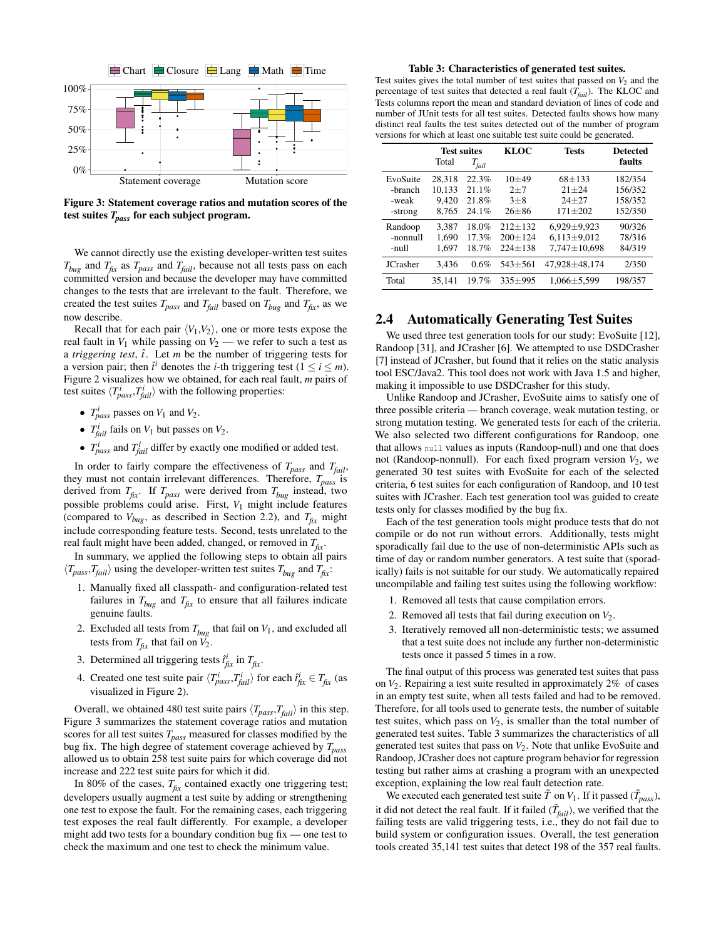<span id="page-3-1"></span>

Figure 3: Statement coverage ratios and mutation scores of the test suites *Tpass* for each subject program.

We cannot directly use the existing developer-written test suites  $T_{bug}$  and  $T_{fix}$  as  $T_{pass}$  and  $T_{fail}$ , because not all tests pass on each committed version and because the developer may have committed changes to the tests that are irrelevant to the fault. Therefore, we created the test suites  $T_{pass}$  and  $T_{fail}$  based on  $T_{bug}$  and  $T_{fix}$ , as we now describe.

Recall that for each pair  $\langle V_1, V_2 \rangle$ , one or more tests expose the real fault in  $V_1$  while passing on  $V_2$  — we refer to such a test as a *triggering test*,  $\hat{t}$ . Let *m* be the number of triggering tests for a version pair; then  $\hat{i}^i$  denotes the *i*-th triggering test  $(1 \le i \le m)$ . Figure [2](#page-2-6) visualizes how we obtained, for each real fault, *m* pairs of test suites  $\langle T_{pass}^i, T_{fail}^i \rangle$  with the following properties:

- $T_{pass}^i$  passes on  $V_1$  and  $V_2$ .
- $T_{fail}^i$  fails on  $V_1$  but passes on  $V_2$ .
- $T_{pass}^i$  and  $T_{fail}^i$  differ by exactly one modified or added test.

In order to fairly compare the effectiveness of  $T_{pass}$  and  $T_{fail}$ , they must not contain irrelevant differences. Therefore, *Tpass* is derived from  $T_{fix}$ . If  $T_{pass}$  were derived from  $T_{bug}$  instead, two possible problems could arise. First, *V*<sup>1</sup> might include features (compared to  $V_{bug}$ , as described in Section [2.2\)](#page-1-1), and  $T_{fix}$  might include corresponding feature tests. Second, tests unrelated to the real fault might have been added, changed, or removed in  $T_{\text{fr}}$ .

In summary, we applied the following steps to obtain all pairs  $\langle T_{pass}, T_{fail} \rangle$  using the developer-written test suites  $T_{bug}$  and  $T_{fix}$ :

- 1. Manually fixed all classpath- and configuration-related test failures in  $T_{bug}$  and  $T_{fix}$  to ensure that all failures indicate genuine faults.
- 2. Excluded all tests from  $T_{bug}$  that fail on  $V_1$ , and excluded all tests from  $T_{fix}$  that fail on  $V_2$ .
- 3. Determined all triggering tests  $\hat{t}^i_{fix}$  in  $T_{fix}$ .
- 4. Created one test suite pair  $\langle T^i_{pass}, T^i_{fail} \rangle$  for each  $\hat{t}^i_{fix} \in T_{fix}$  (as visualized in Figure [2\)](#page-2-6).

Overall, we obtained 480 test suite pairs  $\langle T_{pass}, T_{fail} \rangle$  in this step. Figure [3](#page-3-1) summarizes the statement coverage ratios and mutation scores for all test suites *Tpass* measured for classes modified by the bug fix. The high degree of statement coverage achieved by *Tpass* allowed us to obtain 258 test suite pairs for which coverage did not increase and 222 test suite pairs for which it did.

In 80% of the cases,  $T_{fix}$  contained exactly one triggering test; developers usually augment a test suite by adding or strengthening one test to expose the fault. For the remaining cases, each triggering test exposes the real fault differently. For example, a developer might add two tests for a boundary condition bug fix — one test to check the maximum and one test to check the minimum value.

#### Table 3: Characteristics of generated test suites.

<span id="page-3-2"></span>Test suites gives the total number of test suites that passed on  $V_2$  and the percentage of test suites that detected a real fault  $(T<sub>fail</sub>)$ . The KLOC and Tests columns report the mean and standard deviation of lines of code and number of JUnit tests for all test suites. Detected faults shows how many distinct real faults the test suites detected out of the number of program versions for which at least one suitable test suite could be generated.

|                 | <b>Test suites</b> |            | KLOC          | <b>Tests</b>      | <b>Detected</b> |
|-----------------|--------------------|------------|---------------|-------------------|-----------------|
|                 | Total              | $T_{fail}$ |               |                   | faults          |
| EvoSuite        | 28.318             | 22.3%      | $10+49$       | $68 + 133$        | 182/354         |
| -branch         | 10.133             | 21.1%      | $2 + 7$       | $21 + 24$         | 156/352         |
| -weak           | 9.420              | 21.8%      | $3 + 8$       | $24 + 27$         | 158/352         |
| -strong         | 8.765              | 24.1%      | $26 + 86$     | $171 + 202$       | 152/350         |
| Randoop         | 3.387              | 18.0%      | $212+132$     | $6.929 \pm 9.923$ | 90/326          |
| -nonnull        | 1,690              | 17.3%      | $200+124$     | $6.113 \pm 9.012$ | 78/316          |
| -null           | 1,697              | 18.7%      | $224 + 138$   | 7,747±10,698      | 84/319          |
| <b>JCrasher</b> | 3,436              | 0.6%       | $543 + 561$   | 47,928±48,174     | 2/350           |
| Total           | 35.141             | 19.7%      | $335 \pm 995$ | $1,066 \pm 5,599$ | 198/357         |

### <span id="page-3-0"></span>2.4 Automatically Generating Test Suites

We used three test generation tools for our study: EvoSuite [\[12\]](#page-10-12), Randoop [\[31\]](#page-10-13), and JCrasher [\[6\]](#page-10-14). We attempted to use DSDCrasher [\[7\]](#page-10-15) instead of JCrasher, but found that it relies on the static analysis tool ESC/Java2. This tool does not work with Java 1.5 and higher, making it impossible to use DSDCrasher for this study.

Unlike Randoop and JCrasher, EvoSuite aims to satisfy one of three possible criteria — branch coverage, weak mutation testing, or strong mutation testing. We generated tests for each of the criteria. We also selected two different configurations for Randoop, one that allows null values as inputs (Randoop-null) and one that does not (Randoop-nonnull). For each fixed program version  $V_2$ , we generated 30 test suites with EvoSuite for each of the selected criteria, 6 test suites for each configuration of Randoop, and 10 test suites with JCrasher. Each test generation tool was guided to create tests only for classes modified by the bug fix.

Each of the test generation tools might produce tests that do not compile or do not run without errors. Additionally, tests might sporadically fail due to the use of non-deterministic APIs such as time of day or random number generators. A test suite that (sporadically) fails is not suitable for our study. We automatically repaired uncompilable and failing test suites using the following workflow:

- 1. Removed all tests that cause compilation errors.
- 2. Removed all tests that fail during execution on  $V_2$ .
- 3. Iteratively removed all non-deterministic tests; we assumed that a test suite does not include any further non-deterministic tests once it passed 5 times in a row.

The final output of this process was generated test suites that pass on *V*2. Repairing a test suite resulted in approximately 2% of cases in an empty test suite, when all tests failed and had to be removed. Therefore, for all tools used to generate tests, the number of suitable test suites, which pass on  $V_2$ , is smaller than the total number of generated test suites. Table [3](#page-3-2) summarizes the characteristics of all generated test suites that pass on *V*2. Note that unlike EvoSuite and Randoop, JCrasher does not capture program behavior for regression testing but rather aims at crashing a program with an unexpected exception, explaining the low real fault detection rate.

We executed each generated test suite  $\tilde{T}$  on  $V_1$ . If it passed ( $\tilde{T}_{pass}$ ), it did not detect the real fault. If it failed  $(\tilde{T}_{fail})$ , we verified that the failing tests are valid triggering tests, i.e., they do not fail due to build system or configuration issues. Overall, the test generation tools created 35,141 test suites that detect 198 of the 357 real faults.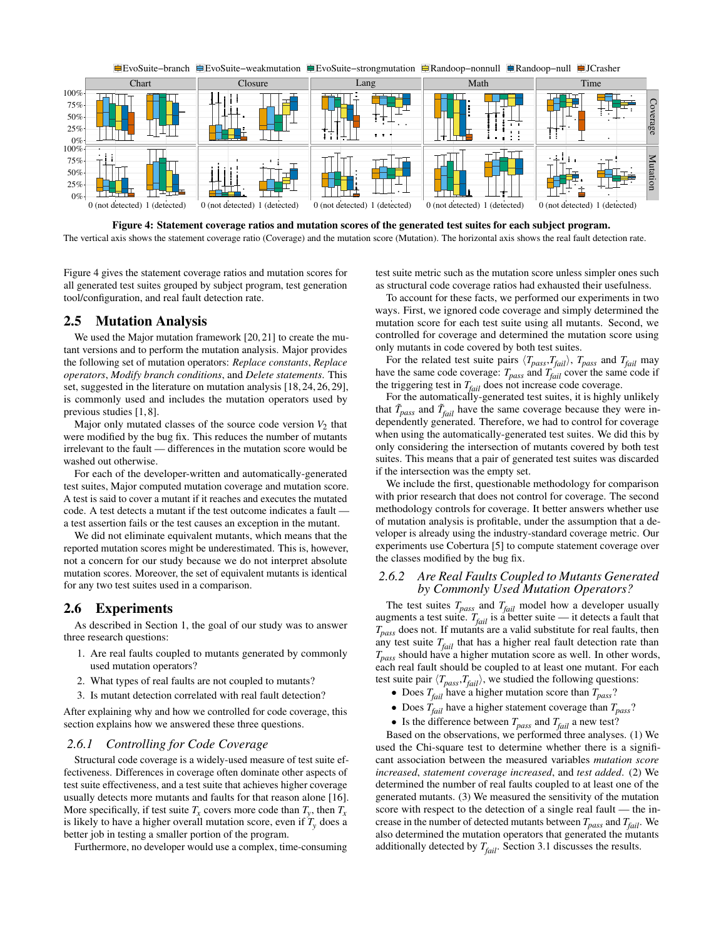<span id="page-4-2"></span>

Figure 4: Statement coverage ratios and mutation scores of the generated test suites for each subject program.

The vertical axis shows the statement coverage ratio (Coverage) and the mutation score (Mutation). The horizontal axis shows the real fault detection rate.

Figure [4](#page-4-2) gives the statement coverage ratios and mutation scores for all generated test suites grouped by subject program, test generation tool/configuration, and real fault detection rate.

### <span id="page-4-0"></span>2.5 Mutation Analysis

We used the Major mutation framework [\[20,](#page-10-16) [21\]](#page-10-17) to create the mutant versions and to perform the mutation analysis. Major provides the following set of mutation operators: *Replace constants*, *Replace operators*, *Modify branch conditions*, and *Delete statements*. This set, suggested in the literature on mutation analysis [\[18,](#page-10-0) [24,](#page-10-18) [26,](#page-10-10) [29\]](#page-10-11), is commonly used and includes the mutation operators used by previous studies [\[1,](#page-10-4) [8\]](#page-10-5).

Major only mutated classes of the source code version  $V_2$  that were modified by the bug fix. This reduces the number of mutants irrelevant to the fault — differences in the mutation score would be washed out otherwise.

For each of the developer-written and automatically-generated test suites, Major computed mutation coverage and mutation score. A test is said to cover a mutant if it reaches and executes the mutated code. A test detects a mutant if the test outcome indicates a fault a test assertion fails or the test causes an exception in the mutant.

We did not eliminate equivalent mutants, which means that the reported mutation scores might be underestimated. This is, however, not a concern for our study because we do not interpret absolute mutation scores. Moreover, the set of equivalent mutants is identical for any two test suites used in a comparison.

#### <span id="page-4-1"></span>2.6 Experiments

As described in Section [1,](#page-0-0) the goal of our study was to answer three research questions:

- 1. Are real faults coupled to mutants generated by commonly used mutation operators?
- 2. What types of real faults are not coupled to mutants?
- 3. Is mutant detection correlated with real fault detection?

After explaining why and how we controlled for code coverage, this section explains how we answered these three questions.

#### *2.6.1 Controlling for Code Coverage*

Structural code coverage is a widely-used measure of test suite effectiveness. Differences in coverage often dominate other aspects of test suite effectiveness, and a test suite that achieves higher coverage usually detects more mutants and faults for that reason alone [\[16\]](#page-10-19). More specifically, if test suite  $T_x$  covers more code than  $T_y$ , then  $T_x$ is likely to have a higher overall mutation score, even if  $T<sub>v</sub>$  does a better job in testing a smaller portion of the program.

Furthermore, no developer would use a complex, time-consuming

test suite metric such as the mutation score unless simpler ones such as structural code coverage ratios had exhausted their usefulness.

To account for these facts, we performed our experiments in two ways. First, we ignored code coverage and simply determined the mutation score for each test suite using all mutants. Second, we controlled for coverage and determined the mutation score using only mutants in code covered by both test suites.

For the related test suite pairs  $\langle T_{pass}, T_{fail} \rangle$ ,  $T_{pass}$  and  $T_{fail}$  may have the same code coverage:  $T_{pass}$  and  $T_{fail}$  cover the same code if the triggering test in  $T_{fail}$  does not increase code coverage.

For the automatically-generated test suites, it is highly unlikely that  $\tilde{T}_{pass}$  and  $\tilde{T}_{fail}$  have the same coverage because they were independently generated. Therefore, we had to control for coverage when using the automatically-generated test suites. We did this by only considering the intersection of mutants covered by both test suites. This means that a pair of generated test suites was discarded if the intersection was the empty set.

We include the first, questionable methodology for comparison with prior research that does not control for coverage. The second methodology controls for coverage. It better answers whether use of mutation analysis is profitable, under the assumption that a developer is already using the industry-standard coverage metric. Our experiments use Cobertura [\[5\]](#page-10-20) to compute statement coverage over the classes modified by the bug fix.

#### *2.6.2 Are Real Faults Coupled to Mutants Generated by Commonly Used Mutation Operators?*

The test suites *Tpass* and *Tfail* model how a developer usually augments a test suite. *Tfail* is a better suite — it detects a fault that *Tpass* does not. If mutants are a valid substitute for real faults, then any test suite  $T_{fail}$  that has a higher real fault detection rate than *Tpass* should have a higher mutation score as well. In other words, each real fault should be coupled to at least one mutant. For each test suite pair  $\langle T_{pass}, T_{fail} \rangle$ , we studied the following questions:

- Does *Tfail* have a higher mutation score than *Tpass*?
- Does  $T_{fail}$  have a higher statement coverage than  $T_{pass}$ ?
- Is the difference between  $T_{pass}$  and  $T_{fail}$  a new test?

Based on the observations, we performed three analyses. (1) We used the Chi-square test to determine whether there is a significant association between the measured variables *mutation score increased*, *statement coverage increased*, and *test added*. (2) We determined the number of real faults coupled to at least one of the generated mutants. (3) We measured the sensitivity of the mutation score with respect to the detection of a single real fault — the increase in the number of detected mutants between  $T_{pass}$  and  $T_{fail}$ . We also determined the mutation operators that generated the mutants additionally detected by *Tfail*. Section [3.1](#page-5-1) discusses the results.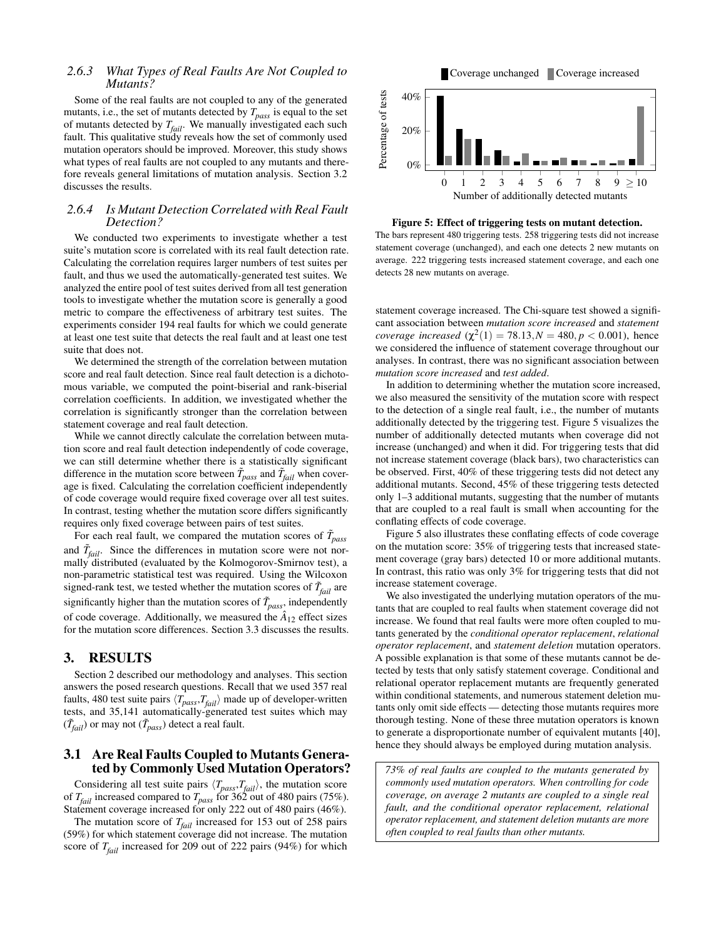### *2.6.3 What Types of Real Faults Are Not Coupled to Mutants?*

Some of the real faults are not coupled to any of the generated mutants, i.e., the set of mutants detected by *Tpass* is equal to the set of mutants detected by *Tfail*. We manually investigated each such fault. This qualitative study reveals how the set of commonly used mutation operators should be improved. Moreover, this study shows what types of real faults are not coupled to any mutants and therefore reveals general limitations of mutation analysis. Section [3.2](#page-6-0) discusses the results.

#### *2.6.4 Is Mutant Detection Correlated with Real Fault Detection?*

We conducted two experiments to investigate whether a test suite's mutation score is correlated with its real fault detection rate. Calculating the correlation requires larger numbers of test suites per fault, and thus we used the automatically-generated test suites. We analyzed the entire pool of test suites derived from all test generation tools to investigate whether the mutation score is generally a good metric to compare the effectiveness of arbitrary test suites. The experiments consider 194 real faults for which we could generate at least one test suite that detects the real fault and at least one test suite that does not.

We determined the strength of the correlation between mutation score and real fault detection. Since real fault detection is a dichotomous variable, we computed the point-biserial and rank-biserial correlation coefficients. In addition, we investigated whether the correlation is significantly stronger than the correlation between statement coverage and real fault detection.

While we cannot directly calculate the correlation between mutation score and real fault detection independently of code coverage, we can still determine whether there is a statistically significant difference in the mutation score between  $\tilde{T}_{pass}$  and  $\tilde{T}_{fail}$  when coverage is fixed. Calculating the correlation coefficient independently of code coverage would require fixed coverage over all test suites. In contrast, testing whether the mutation score differs significantly requires only fixed coverage between pairs of test suites.

For each real fault, we compared the mutation scores of  $\tilde{T}_{pass}$ and  $\tilde{T}_{fail}$ . Since the differences in mutation score were not normally distributed (evaluated by the Kolmogorov-Smirnov test), a non-parametric statistical test was required. Using the Wilcoxon signed-rank test, we tested whether the mutation scores of  $\tilde{T}_{fail}$  are significantly higher than the mutation scores of  $\tilde{T}_{pass}$ , independently of code coverage. Additionally, we measured the  $\hat{A}_{12}$  effect sizes for the mutation score differences. Section [3.3](#page-7-0) discusses the results.

### <span id="page-5-0"></span>3. RESULTS

Section [2](#page-1-0) described our methodology and analyses. This section answers the posed research questions. Recall that we used 357 real faults, 480 test suite pairs  $\langle T_{pass}, T_{fail} \rangle$  made up of developer-written tests, and 35,141 automatically-generated test suites which may  $(\tilde{T}_{fail})$  or may not  $(\tilde{T}_{pass})$  detect a real fault.

### <span id="page-5-1"></span>3.1 Are Real Faults Coupled to Mutants Generated by Commonly Used Mutation Operators?

Considering all test suite pairs  $\langle T_{pass}, T_{fail} \rangle$ , the mutation score of  $T_{fail}$  increased compared to  $T_{pass}$  for 362 out of 480 pairs (75%). Statement coverage increased for only 222 out of 480 pairs (46%).

The mutation score of *Tfail* increased for 153 out of 258 pairs (59%) for which statement coverage did not increase. The mutation score of *Tfail* increased for 209 out of 222 pairs (94%) for which

<span id="page-5-2"></span>



The bars represent 480 triggering tests. 258 triggering tests did not increase statement coverage (unchanged), and each one detects 2 new mutants on average. 222 triggering tests increased statement coverage, and each one detects 28 new mutants on average.

statement coverage increased. The Chi-square test showed a significant association between *mutation score increased* and *statement coverage increased* ( $\chi^2(1) = 78.13, N = 480, p < 0.001$ ), hence we considered the influence of statement coverage throughout our analyses. In contrast, there was no significant association between *mutation score increased* and *test added*.

In addition to determining whether the mutation score increased, we also measured the sensitivity of the mutation score with respect to the detection of a single real fault, i.e., the number of mutants additionally detected by the triggering test. Figure [5](#page-5-2) visualizes the number of additionally detected mutants when coverage did not increase (unchanged) and when it did. For triggering tests that did not increase statement coverage (black bars), two characteristics can be observed. First, 40% of these triggering tests did not detect any additional mutants. Second, 45% of these triggering tests detected only 1–3 additional mutants, suggesting that the number of mutants that are coupled to a real fault is small when accounting for the conflating effects of code coverage.

Figure [5](#page-5-2) also illustrates these conflating effects of code coverage on the mutation score: 35% of triggering tests that increased statement coverage (gray bars) detected 10 or more additional mutants. In contrast, this ratio was only 3% for triggering tests that did not increase statement coverage.

We also investigated the underlying mutation operators of the mutants that are coupled to real faults when statement coverage did not increase. We found that real faults were more often coupled to mutants generated by the *conditional operator replacement*, *relational operator replacement*, and *statement deletion* mutation operators. A possible explanation is that some of these mutants cannot be detected by tests that only satisfy statement coverage. Conditional and relational operator replacement mutants are frequently generated within conditional statements, and numerous statement deletion mutants only omit side effects — detecting those mutants requires more thorough testing. None of these three mutation operators is known to generate a disproportionate number of equivalent mutants [\[40\]](#page-11-4), hence they should always be employed during mutation analysis.

*73% of real faults are coupled to the mutants generated by commonly used mutation operators. When controlling for code coverage, on average 2 mutants are coupled to a single real fault, and the conditional operator replacement, relational operator replacement, and statement deletion mutants are more often coupled to real faults than other mutants.*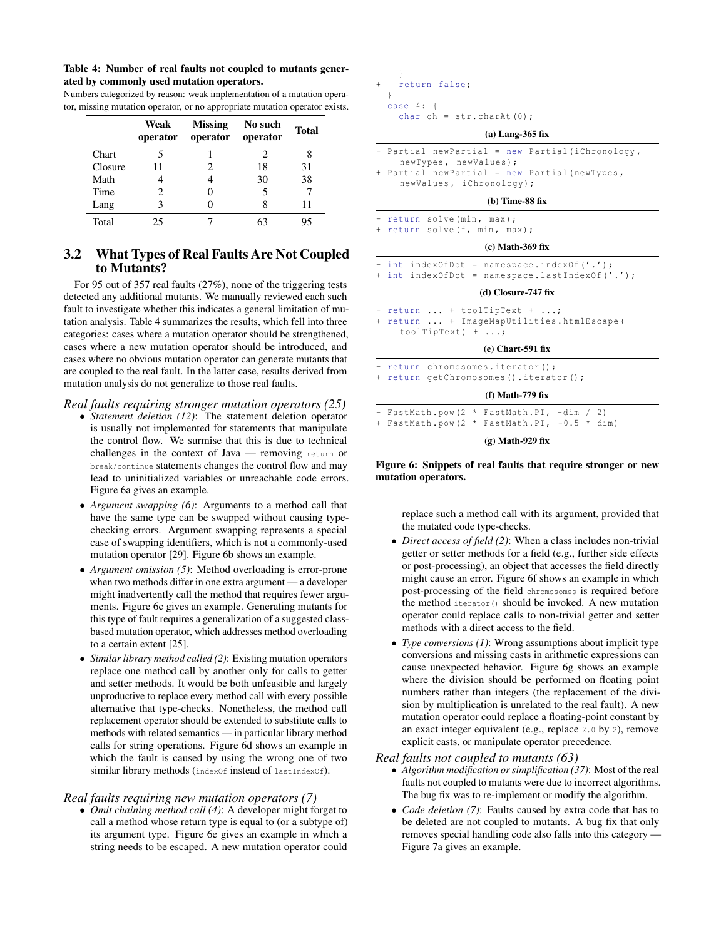<span id="page-6-1"></span>Table 4: Number of real faults not coupled to mutants generated by commonly used mutation operators.

Numbers categorized by reason: weak implementation of a mutation operator, missing mutation operator, or no appropriate mutation operator exists.

|         | Weak<br>operator | <b>Missing</b><br>operator | No such<br>operator | <b>Total</b> |
|---------|------------------|----------------------------|---------------------|--------------|
| Chart   |                  |                            | 2                   |              |
| Closure | 11               | 2                          | 18                  | 31           |
| Math    |                  |                            | 30                  | 38           |
| Time    |                  |                            | 5                   |              |
| Lang    | κ                |                            | 8                   | 11           |
| Total   | 25               |                            | 63                  | 95           |

### <span id="page-6-0"></span>3.2 What Types of Real Faults Are Not Coupled to Mutants?

For 95 out of 357 real faults (27%), none of the triggering tests detected any additional mutants. We manually reviewed each such fault to investigate whether this indicates a general limitation of mutation analysis. Table [4](#page-6-1) summarizes the results, which fell into three categories: cases where a mutation operator should be strengthened, cases where a new mutation operator should be introduced, and cases where no obvious mutation operator can generate mutants that are coupled to the real fault. In the latter case, results derived from mutation analysis do not generalize to those real faults.

#### *Real faults requiring stronger mutation operators (25)*

- *Statement deletion (12)*: The statement deletion operator is usually not implemented for statements that manipulate the control flow. We surmise that this is due to technical challenges in the context of Java — removing return or break/continue statements changes the control flow and may lead to uninitialized variables or unreachable code errors. Figure [6a](#page-6-2) gives an example.
- *Argument swapping (6)*: Arguments to a method call that have the same type can be swapped without causing typechecking errors. Argument swapping represents a special case of swapping identifiers, which is not a commonly-used mutation operator [\[29\]](#page-10-11). Figure [6b](#page-6-2) shows an example.
- *Argument omission (5)*: Method overloading is error-prone when two methods differ in one extra argument — a developer might inadvertently call the method that requires fewer arguments. Figure [6c](#page-6-2) gives an example. Generating mutants for this type of fault requires a generalization of a suggested classbased mutation operator, which addresses method overloading to a certain extent [\[25\]](#page-10-21).
- *Similar library method called (2)*: Existing mutation operators replace one method call by another only for calls to getter and setter methods. It would be both unfeasible and largely unproductive to replace every method call with every possible alternative that type-checks. Nonetheless, the method call replacement operator should be extended to substitute calls to methods with related semantics — in particular library method calls for string operations. Figure [6d](#page-6-2) shows an example in which the fault is caused by using the wrong one of two similar library methods (indexOf instead of lastIndexOf).

### *Real faults requiring new mutation operators (7)*

• *Omit chaining method call (4)*: A developer might forget to call a method whose return type is equal to (or a subtype of) its argument type. Figure [6e](#page-6-2) gives an example in which a string needs to be escaped. A new mutation operator could

<span id="page-6-2"></span>} return false;

```
}
case 4: {
```
char ch =  $str. charAt (0)$ ;

#### (a) Lang-365 fix

```
Partial newPartial = new Partial (iChronology,
  newTypes , newValues );
```

```
+ Partial newPartial = new Partial (newTypes,
    newValues , iChronology );
```
#### (b) Time-88 fix

return solve (min, max);

+ return solve (f, min, max):

#### (c) Math-369 fix

```
- int indexOfDot = namespace.indexOf('.');
```

```
+ int indexOfDot = namespace.lastIndexOf('.');
```
#### (d) Closure-747 fix

- return ... + toolTipText + ...;

+ return ... + ImageMapUtilities . htmlEscape ( toolTipText ) + ...;

#### (e) Chart-591 fix

- return chromosomes . iterator () ;

+ return getChromosomes () . iterator () ;

#### (f) Math-779 fix

| - FastMath.pow(2 * FastMath.PI, -dim / 2)   |  |  |  |
|---------------------------------------------|--|--|--|
| + FastMath.pow(2 * FastMath.PI, -0.5 * dim) |  |  |  |

(g) Math-929 fix

#### Figure 6: Snippets of real faults that require stronger or new mutation operators.

replace such a method call with its argument, provided that the mutated code type-checks.

- *Direct access of field (2)*: When a class includes non-trivial getter or setter methods for a field (e.g., further side effects or post-processing), an object that accesses the field directly might cause an error. Figure [6f](#page-6-2) shows an example in which post-processing of the field chromosomes is required before the method iterator() should be invoked. A new mutation operator could replace calls to non-trivial getter and setter methods with a direct access to the field.
- *Type conversions (1)*: Wrong assumptions about implicit type conversions and missing casts in arithmetic expressions can cause unexpected behavior. Figure [6g](#page-6-2) shows an example where the division should be performed on floating point numbers rather than integers (the replacement of the division by multiplication is unrelated to the real fault). A new mutation operator could replace a floating-point constant by an exact integer equivalent (e.g., replace 2.0 by 2), remove explicit casts, or manipulate operator precedence.

### *Real faults not coupled to mutants (63)*

- *Algorithm modification or simplification (37)*: Most of the real faults not coupled to mutants were due to incorrect algorithms. The bug fix was to re-implement or modify the algorithm.
- *Code deletion (7)*: Faults caused by extra code that has to be deleted are not coupled to mutants. A bug fix that only removes special handling code also falls into this category — Figure [7a](#page-7-1) gives an example.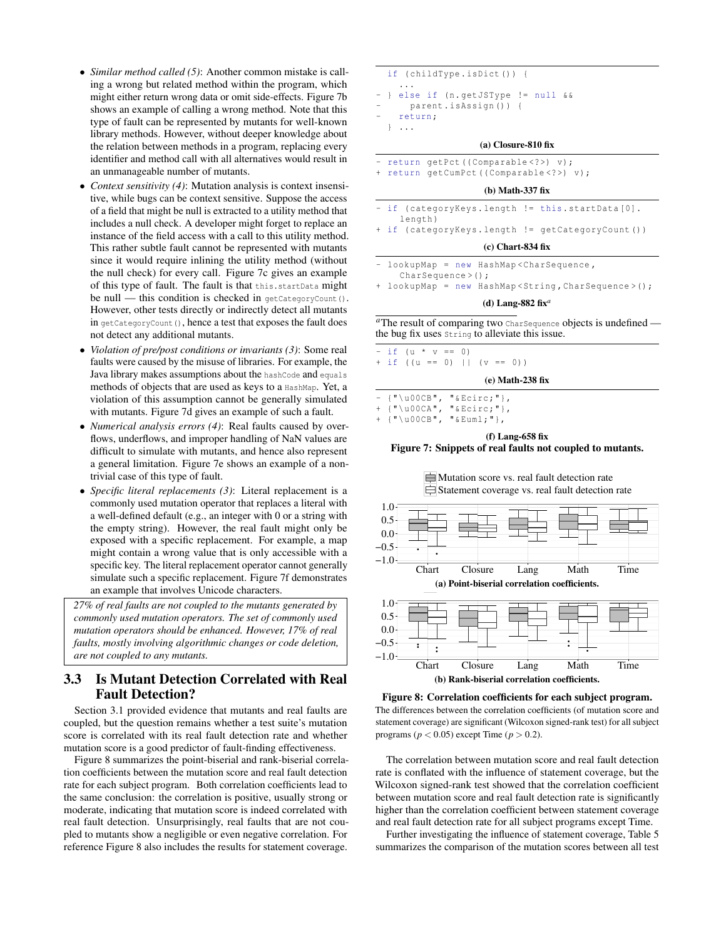- *Similar method called (5)*: Another common mistake is calling a wrong but related method within the program, which might either return wrong data or omit side-effects. Figure [7b](#page-7-1) shows an example of calling a wrong method. Note that this type of fault can be represented by mutants for well-known library methods. However, without deeper knowledge about the relation between methods in a program, replacing every identifier and method call with all alternatives would result in an unmanageable number of mutants.
- *Context sensitivity (4)*: Mutation analysis is context insensitive, while bugs can be context sensitive. Suppose the access of a field that might be null is extracted to a utility method that includes a null check. A developer might forget to replace an instance of the field access with a call to this utility method. This rather subtle fault cannot be represented with mutants since it would require inlining the utility method (without the null check) for every call. Figure [7c](#page-7-1) gives an example of this type of fault. The fault is that this.startData might be null — this condition is checked in getCategoryCount(). However, other tests directly or indirectly detect all mutants in getCategoryCount(), hence a test that exposes the fault does not detect any additional mutants.
- *Violation of pre/post conditions or invariants (3)*: Some real faults were caused by the misuse of libraries. For example, the Java library makes assumptions about the hashCode and equals methods of objects that are used as keys to a HashMap. Yet, a violation of this assumption cannot be generally simulated with mutants. Figure [7d](#page-7-1) gives an example of such a fault.
- *Numerical analysis errors (4)*: Real faults caused by overflows, underflows, and improper handling of NaN values are difficult to simulate with mutants, and hence also represent a general limitation. Figure [7e](#page-7-1) shows an example of a nontrivial case of this type of fault.
- *Specific literal replacements (3)*: Literal replacement is a commonly used mutation operator that replaces a literal with a well-defined default (e.g., an integer with 0 or a string with the empty string). However, the real fault might only be exposed with a specific replacement. For example, a map might contain a wrong value that is only accessible with a specific key. The literal replacement operator cannot generally simulate such a specific replacement. Figure [7f](#page-7-1) demonstrates an example that involves Unicode characters.

*27% of real faults are not coupled to the mutants generated by commonly used mutation operators. The set of commonly used mutation operators should be enhanced. However, 17% of real faults, mostly involving algorithmic changes or code deletion, are not coupled to any mutants.*

### <span id="page-7-0"></span>3.3 Is Mutant Detection Correlated with Real Fault Detection?

Section [3.1](#page-5-1) provided evidence that mutants and real faults are coupled, but the question remains whether a test suite's mutation score is correlated with its real fault detection rate and whether mutation score is a good predictor of fault-finding effectiveness.

Figure [8](#page-7-2) summarizes the point-biserial and rank-biserial correlation coefficients between the mutation score and real fault detection rate for each subject program. Both correlation coefficients lead to the same conclusion: the correlation is positive, usually strong or moderate, indicating that mutation score is indeed correlated with real fault detection. Unsurprisingly, real faults that are not coupled to mutants show a negligible or even negative correlation. For reference Figure [8](#page-7-2) also includes the results for statement coverage.

```
if ( childType . isDict () ) {
```

```
...
- } else if (n. getJSType != null &&
```

```
parent.isAssign()) {
```

```
- return;
```
} ...

#### (a) Closure-810 fix

- return getPct ((Comparable <?>) v);
- + return getCumPct (( Comparable <? >) v);

#### (b) Math-337 fix

|  | - if (categoryKeys.length != this.startData [0]. |  |
|--|--------------------------------------------------|--|
|  | length)                                          |  |
|  | + if (categoryKeys.length != getCategoryCount()) |  |

#### (c) Chart-834 fix

- lookupMap = new HashMap < CharSequence ,
- CharSequence >() ; + lookupMap = new HashMap < String , CharSequence >() ;

#### (d) Lang-882 fix*[a](#page-7-3)*

<span id="page-7-3"></span>*<sup>a</sup>*The result of comparing two CharSequence objects is undefined the bug fix uses String to alleviate this issue.

|  | $-$ if (u * v == 0)             |  |  |  |
|--|---------------------------------|--|--|--|
|  | $+$ if $((u == 0)    (v == 0))$ |  |  |  |

| $\sim$ $\sim$ |  | $\sim$ $\sim$ $\prime$ $\sim$ |
|---------------|--|-------------------------------|
|               |  |                               |
|               |  |                               |

|                                                                                                                                                | $(e)$ Math-238 fix                                                              |
|------------------------------------------------------------------------------------------------------------------------------------------------|---------------------------------------------------------------------------------|
|                                                                                                                                                | - {"\u00CB", "Ê"},                                                              |
| $\mathbf{I}$ $\mathbf{I}$ $\mathbf{I}$ $\mathbf{I}$ $\mathbf{I}$ $\mathbf{I}$ $\mathbf{I}$ $\mathbf{I}$ $\mathbf{I}$ $\mathbf{I}$ $\mathbf{I}$ | $\mathbf{H} \times \mathbf{H} = \mathbf{I} \times \mathbf{I} \times \mathbf{H}$ |

+ {"\ u00CA " , "& Ecirc ;"},

+ {"\ u00CB " , "& Euml ;"},



<span id="page-7-2"></span>

Figure 8: Correlation coefficients for each subject program. The differences between the correlation coefficients (of mutation score and statement coverage) are significant (Wilcoxon signed-rank test) for all subject programs ( $p < 0.05$ ) except Time ( $p > 0.2$ ).

The correlation between mutation score and real fault detection rate is conflated with the influence of statement coverage, but the Wilcoxon signed-rank test showed that the correlation coefficient between mutation score and real fault detection rate is significantly higher than the correlation coefficient between statement coverage and real fault detection rate for all subject programs except Time.

Further investigating the influence of statement coverage, Table [5](#page-8-1) summarizes the comparison of the mutation scores between all test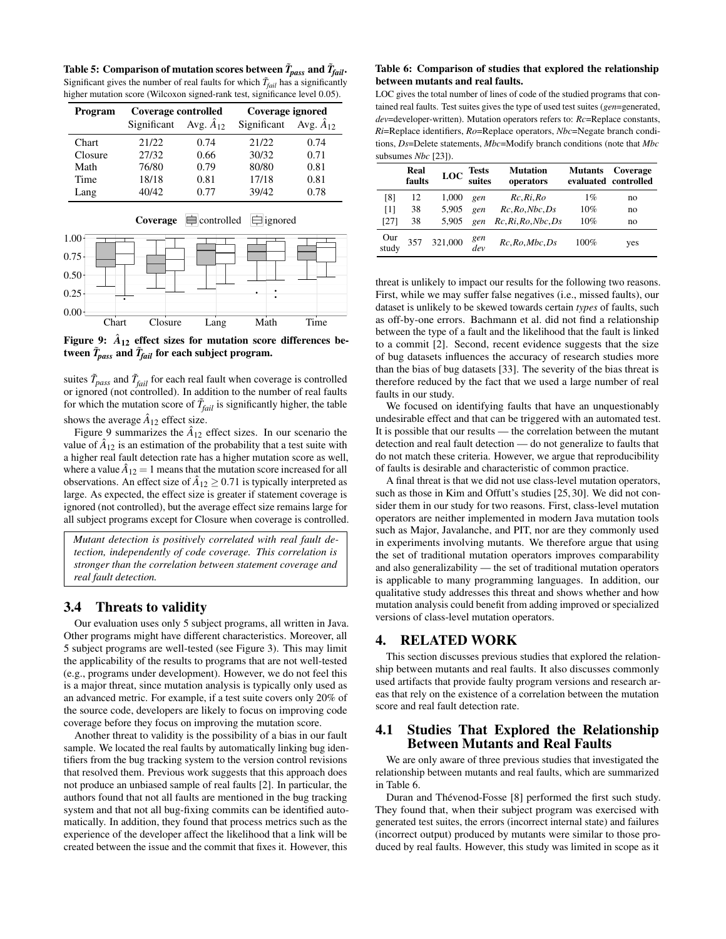<span id="page-8-1"></span>Table 5: Comparison of mutation scores between  $\tilde{T}_{pass}$  and  $\tilde{T}_{fail}$ . Significant gives the number of real faults for which  $\tilde{T}_{\text{fail}}$  has a significantly higher mutation score (Wilcoxon signed-rank test, significance level 0.05).

| Program | Coverage controlled |                     | Coverage ignored |                     |  |
|---------|---------------------|---------------------|------------------|---------------------|--|
|         | Significant         | Avg. $\hat{A}_{12}$ | Significant      | Avg. $\hat{A}_{12}$ |  |
| Chart   | 21/22               | 0.74                | 21/22            | 0.74                |  |
| Closure | 27/32               | 0.66                | 30/32            | 0.71                |  |
| Math    | 76/80               | 0.79                | 80/80            | 0.81                |  |
| Time    | 18/18               | 0.81                | 17/18            | 0.81                |  |
| Lang    | 40/42               | 0.77                | 39/42            | 0.78                |  |

<span id="page-8-2"></span>

Figure 9:  $\hat{A}_{12}$  effect sizes for mutation score differences between  $\tilde{T}_{pass}$  and  $\tilde{T}_{fail}$  for each subject program.

suites  $\tilde{T}_{pass}$  and  $\tilde{T}_{fail}$  for each real fault when coverage is controlled or ignored (not controlled). In addition to the number of real faults for which the mutation score of  $\tilde{T}_{fail}$  is significantly higher, the table shows the average  $\hat{A}_{12}$  effect size.

Figure [9](#page-8-2) summarizes the  $\hat{A}_{12}$  effect sizes. In our scenario the value of  $\hat{A}_{12}$  is an estimation of the probability that a test suite with a higher real fault detection rate has a higher mutation score as well, where a value  $\hat{A}_{12} = 1$  means that the mutation score increased for all observations. An effect size of  $\hat{A}_{12} \geq 0.71$  is typically interpreted as large. As expected, the effect size is greater if statement coverage is ignored (not controlled), but the average effect size remains large for all subject programs except for Closure when coverage is controlled.

*Mutant detection is positively correlated with real fault detection, independently of code coverage. This correlation is stronger than the correlation between statement coverage and real fault detection.*

### 3.4 Threats to validity

Our evaluation uses only 5 subject programs, all written in Java. Other programs might have different characteristics. Moreover, all 5 subject programs are well-tested (see Figure [3\)](#page-3-1). This may limit the applicability of the results to programs that are not well-tested (e.g., programs under development). However, we do not feel this is a major threat, since mutation analysis is typically only used as an advanced metric. For example, if a test suite covers only 20% of the source code, developers are likely to focus on improving code coverage before they focus on improving the mutation score.

Another threat to validity is the possibility of a bias in our fault sample. We located the real faults by automatically linking bug identifiers from the bug tracking system to the version control revisions that resolved them. Previous work suggests that this approach does not produce an unbiased sample of real faults [\[2\]](#page-10-22). In particular, the authors found that not all faults are mentioned in the bug tracking system and that not all bug-fixing commits can be identified automatically. In addition, they found that process metrics such as the experience of the developer affect the likelihood that a link will be created between the issue and the commit that fixes it. However, this

#### <span id="page-8-3"></span>Table 6: Comparison of studies that explored the relationship between mutants and real faults.

LOC gives the total number of lines of code of the studied programs that contained real faults. Test suites gives the type of used test suites (*gen*=generated, *dev*=developer-written). Mutation operators refers to: *Rc*=Replace constants, *Ri*=Replace identifiers, *Ro*=Replace operators, *Nbc*=Negate branch conditions, *Ds*=Delete statements, *Mbc*=Modify branch conditions (note that *Mbc* subsumes *Nbc* [\[23\]](#page-10-23)).

|              | Real<br>faults | LOC     | Tests<br>suites | <b>Mutation</b><br>operators | <b>Mutants</b> | Coverage<br>evaluated controlled |
|--------------|----------------|---------|-----------------|------------------------------|----------------|----------------------------------|
| [8]          | 12             | 1,000   | gen             | Rc, Ri, Ro                   | $1\%$          | no                               |
| [1]          | 38             | 5.905   | gen             | Rc, Ro, Nbc, Ds              | 10%            | no                               |
| [27]         | 38             | 5.905   | gen             | Rc, Ri, Ro, Nbc, Ds          | 10%            | no                               |
| Our<br>study | 357            | 321,000 | gen<br>dev      | Rc, Ro, Mbc, Ds              | 100%           | yes                              |

threat is unlikely to impact our results for the following two reasons. First, while we may suffer false negatives (i.e., missed faults), our dataset is unlikely to be skewed towards certain *types* of faults, such as off-by-one errors. Bachmann et al. did not find a relationship between the type of a fault and the likelihood that the fault is linked to a commit [\[2\]](#page-10-22). Second, recent evidence suggests that the size of bug datasets influences the accuracy of research studies more than the bias of bug datasets [\[33\]](#page-11-5). The severity of the bias threat is therefore reduced by the fact that we used a large number of real faults in our study.

We focused on identifying faults that have an unquestionably undesirable effect and that can be triggered with an automated test. It is possible that our results — the correlation between the mutant detection and real fault detection — do not generalize to faults that do not match these criteria. However, we argue that reproducibility of faults is desirable and characteristic of common practice.

A final threat is that we did not use class-level mutation operators, such as those in Kim and Offutt's studies [\[25,](#page-10-21) [30\]](#page-10-24). We did not consider them in our study for two reasons. First, class-level mutation operators are neither implemented in modern Java mutation tools such as Major, Javalanche, and PIT, nor are they commonly used in experiments involving mutants. We therefore argue that using the set of traditional mutation operators improves comparability and also generalizability — the set of traditional mutation operators is applicable to many programming languages. In addition, our qualitative study addresses this threat and shows whether and how mutation analysis could benefit from adding improved or specialized versions of class-level mutation operators.

### <span id="page-8-0"></span>4. RELATED WORK

This section discusses previous studies that explored the relationship between mutants and real faults. It also discusses commonly used artifacts that provide faulty program versions and research areas that rely on the existence of a correlation between the mutation score and real fault detection rate.

### 4.1 Studies That Explored the Relationship Between Mutants and Real Faults

We are only aware of three previous studies that investigated the relationship between mutants and real faults, which are summarized in Table [6.](#page-8-3)

Duran and Thévenod-Fosse [\[8\]](#page-10-5) performed the first such study. They found that, when their subject program was exercised with generated test suites, the errors (incorrect internal state) and failures (incorrect output) produced by mutants were similar to those produced by real faults. However, this study was limited in scope as it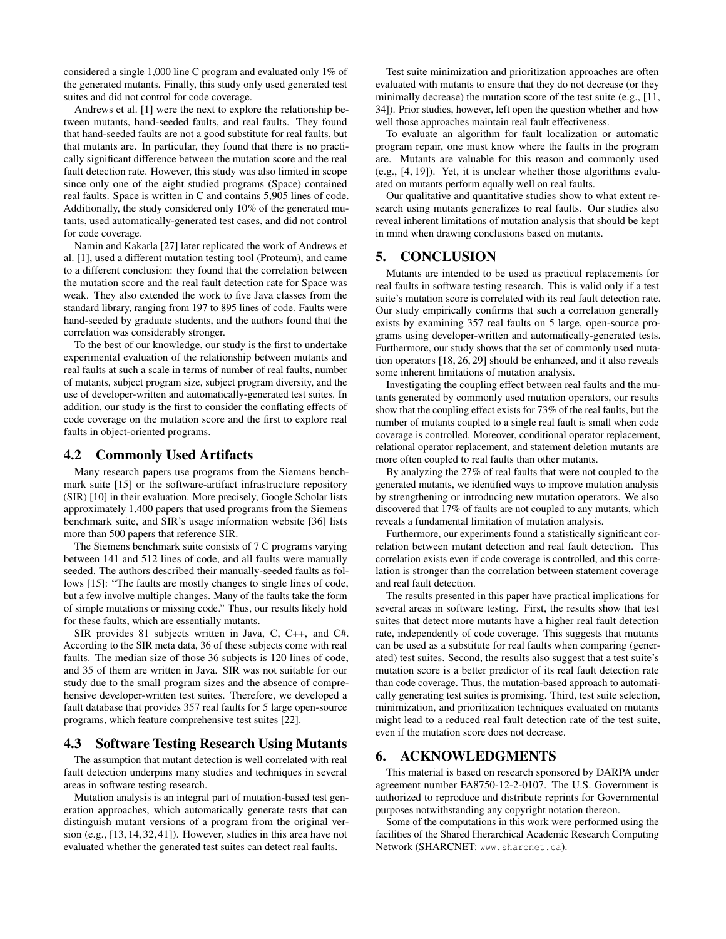considered a single 1,000 line C program and evaluated only 1% of the generated mutants. Finally, this study only used generated test suites and did not control for code coverage.

Andrews et al. [\[1\]](#page-10-4) were the next to explore the relationship between mutants, hand-seeded faults, and real faults. They found that hand-seeded faults are not a good substitute for real faults, but that mutants are. In particular, they found that there is no practically significant difference between the mutation score and the real fault detection rate. However, this study was also limited in scope since only one of the eight studied programs (Space) contained real faults. Space is written in C and contains 5,905 lines of code. Additionally, the study considered only 10% of the generated mutants, used automatically-generated test cases, and did not control for code coverage.

Namin and Kakarla [\[27\]](#page-10-6) later replicated the work of Andrews et al. [\[1\]](#page-10-4), used a different mutation testing tool (Proteum), and came to a different conclusion: they found that the correlation between the mutation score and the real fault detection rate for Space was weak. They also extended the work to five Java classes from the standard library, ranging from 197 to 895 lines of code. Faults were hand-seeded by graduate students, and the authors found that the correlation was considerably stronger.

To the best of our knowledge, our study is the first to undertake experimental evaluation of the relationship between mutants and real faults at such a scale in terms of number of real faults, number of mutants, subject program size, subject program diversity, and the use of developer-written and automatically-generated test suites. In addition, our study is the first to consider the conflating effects of code coverage on the mutation score and the first to explore real faults in object-oriented programs.

### 4.2 Commonly Used Artifacts

Many research papers use programs from the Siemens benchmark suite [\[15\]](#page-10-25) or the software-artifact infrastructure repository (SIR) [\[10\]](#page-10-26) in their evaluation. More precisely, Google Scholar lists approximately 1,400 papers that used programs from the Siemens benchmark suite, and SIR's usage information website [\[36\]](#page-11-6) lists more than 500 papers that reference SIR.

The Siemens benchmark suite consists of 7 C programs varying between 141 and 512 lines of code, and all faults were manually seeded. The authors described their manually-seeded faults as follows [\[15\]](#page-10-25): "The faults are mostly changes to single lines of code, but a few involve multiple changes. Many of the faults take the form of simple mutations or missing code." Thus, our results likely hold for these faults, which are essentially mutants.

SIR provides 81 subjects written in Java, C, C++, and C#. According to the SIR meta data, 36 of these subjects come with real faults. The median size of those 36 subjects is 120 lines of code, and 35 of them are written in Java. SIR was not suitable for our study due to the small program sizes and the absence of comprehensive developer-written test suites. Therefore, we developed a fault database that provides 357 real faults for 5 large open-source programs, which feature comprehensive test suites [\[22\]](#page-10-27).

### 4.3 Software Testing Research Using Mutants

The assumption that mutant detection is well correlated with real fault detection underpins many studies and techniques in several areas in software testing research.

Mutation analysis is an integral part of mutation-based test generation approaches, which automatically generate tests that can distinguish mutant versions of a program from the original version (e.g., [\[13,](#page-10-2) [14,](#page-10-28) [32,](#page-10-29) [41\]](#page-11-7)). However, studies in this area have not evaluated whether the generated test suites can detect real faults.

Test suite minimization and prioritization approaches are often evaluated with mutants to ensure that they do not decrease (or they minimally decrease) the mutation score of the test suite (e.g., [\[11,](#page-10-30) [34\]](#page-11-8)). Prior studies, however, left open the question whether and how well those approaches maintain real fault effectiveness.

To evaluate an algorithm for fault localization or automatic program repair, one must know where the faults in the program are. Mutants are valuable for this reason and commonly used (e.g., [\[4,](#page-10-31) [19\]](#page-10-3)). Yet, it is unclear whether those algorithms evaluated on mutants perform equally well on real faults.

Our qualitative and quantitative studies show to what extent research using mutants generalizes to real faults. Our studies also reveal inherent limitations of mutation analysis that should be kept in mind when drawing conclusions based on mutants.

### <span id="page-9-0"></span>5. CONCLUSION

Mutants are intended to be used as practical replacements for real faults in software testing research. This is valid only if a test suite's mutation score is correlated with its real fault detection rate. Our study empirically confirms that such a correlation generally exists by examining 357 real faults on 5 large, open-source programs using developer-written and automatically-generated tests. Furthermore, our study shows that the set of commonly used mutation operators [\[18,](#page-10-0) [26,](#page-10-10) [29\]](#page-10-11) should be enhanced, and it also reveals some inherent limitations of mutation analysis.

Investigating the coupling effect between real faults and the mutants generated by commonly used mutation operators, our results show that the coupling effect exists for 73% of the real faults, but the number of mutants coupled to a single real fault is small when code coverage is controlled. Moreover, conditional operator replacement, relational operator replacement, and statement deletion mutants are more often coupled to real faults than other mutants.

By analyzing the 27% of real faults that were not coupled to the generated mutants, we identified ways to improve mutation analysis by strengthening or introducing new mutation operators. We also discovered that 17% of faults are not coupled to any mutants, which reveals a fundamental limitation of mutation analysis.

Furthermore, our experiments found a statistically significant correlation between mutant detection and real fault detection. This correlation exists even if code coverage is controlled, and this correlation is stronger than the correlation between statement coverage and real fault detection.

The results presented in this paper have practical implications for several areas in software testing. First, the results show that test suites that detect more mutants have a higher real fault detection rate, independently of code coverage. This suggests that mutants can be used as a substitute for real faults when comparing (generated) test suites. Second, the results also suggest that a test suite's mutation score is a better predictor of its real fault detection rate than code coverage. Thus, the mutation-based approach to automatically generating test suites is promising. Third, test suite selection, minimization, and prioritization techniques evaluated on mutants might lead to a reduced real fault detection rate of the test suite, even if the mutation score does not decrease.

### 6. ACKNOWLEDGMENTS

This material is based on research sponsored by DARPA under agreement number FA8750-12-2-0107. The U.S. Government is authorized to reproduce and distribute reprints for Governmental purposes notwithstanding any copyright notation thereon.

Some of the computations in this work were performed using the facilities of the Shared Hierarchical Academic Research Computing Network (SHARCNET: <www.sharcnet.ca>).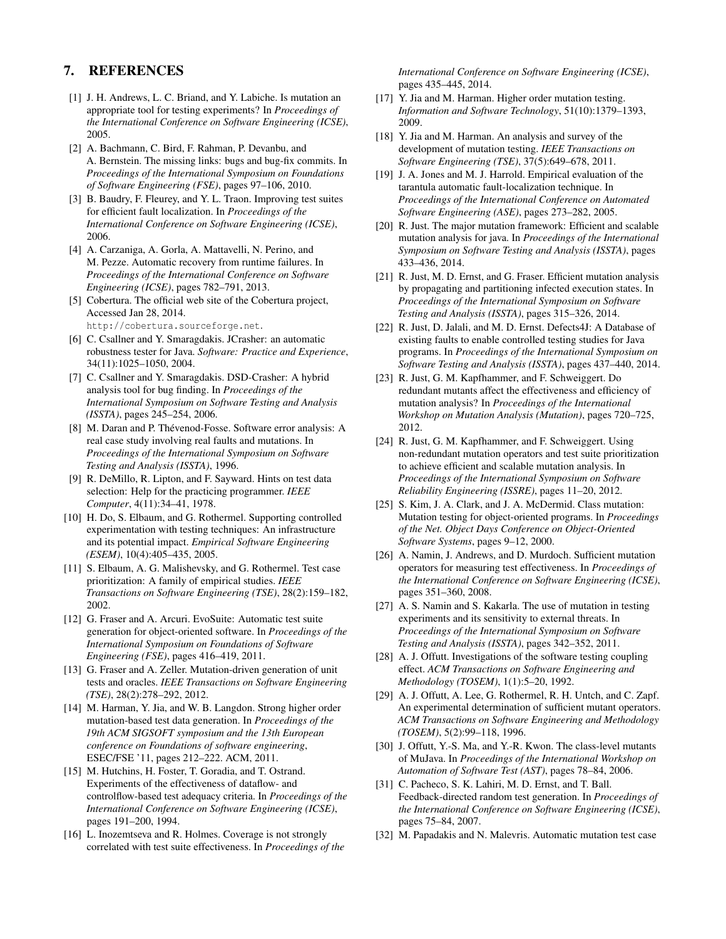## 7. REFERENCES

- <span id="page-10-4"></span>[1] J. H. Andrews, L. C. Briand, and Y. Labiche. Is mutation an appropriate tool for testing experiments? In *Proceedings of the International Conference on Software Engineering (ICSE)*, 2005.
- <span id="page-10-22"></span>[2] A. Bachmann, C. Bird, F. Rahman, P. Devanbu, and A. Bernstein. The missing links: bugs and bug-fix commits. In *Proceedings of the International Symposium on Foundations of Software Engineering (FSE)*, pages 97–106, 2010.
- <span id="page-10-1"></span>[3] B. Baudry, F. Fleurey, and Y. L. Traon. Improving test suites for efficient fault localization. In *Proceedings of the International Conference on Software Engineering (ICSE)*, 2006.
- <span id="page-10-31"></span>[4] A. Carzaniga, A. Gorla, A. Mattavelli, N. Perino, and M. Pezze. Automatic recovery from runtime failures. In *Proceedings of the International Conference on Software Engineering (ICSE)*, pages 782–791, 2013.
- <span id="page-10-20"></span>[5] Cobertura. The official web site of the Cobertura project, Accessed Jan 28, 2014.
	- <http://cobertura.sourceforge.net>.
- <span id="page-10-14"></span>[6] C. Csallner and Y. Smaragdakis. JCrasher: an automatic robustness tester for Java. *Software: Practice and Experience*, 34(11):1025–1050, 2004.
- <span id="page-10-15"></span>[7] C. Csallner and Y. Smaragdakis. DSD-Crasher: A hybrid analysis tool for bug finding. In *Proceedings of the International Symposium on Software Testing and Analysis (ISSTA)*, pages 245–254, 2006.
- <span id="page-10-5"></span>[8] M. Daran and P. Thévenod-Fosse. Software error analysis: A real case study involving real faults and mutations. In *Proceedings of the International Symposium on Software Testing and Analysis (ISSTA)*, 1996.
- <span id="page-10-7"></span>[9] R. DeMillo, R. Lipton, and F. Sayward. Hints on test data selection: Help for the practicing programmer. *IEEE Computer*, 4(11):34–41, 1978.
- <span id="page-10-26"></span>[10] H. Do, S. Elbaum, and G. Rothermel. Supporting controlled experimentation with testing techniques: An infrastructure and its potential impact. *Empirical Software Engineering (ESEM)*, 10(4):405–435, 2005.
- <span id="page-10-30"></span>[11] S. Elbaum, A. G. Malishevsky, and G. Rothermel. Test case prioritization: A family of empirical studies. *IEEE Transactions on Software Engineering (TSE)*, 28(2):159–182, 2002.
- <span id="page-10-12"></span>[12] G. Fraser and A. Arcuri. EvoSuite: Automatic test suite generation for object-oriented software. In *Proceedings of the International Symposium on Foundations of Software Engineering (FSE)*, pages 416–419, 2011.
- <span id="page-10-2"></span>[13] G. Fraser and A. Zeller. Mutation-driven generation of unit tests and oracles. *IEEE Transactions on Software Engineering (TSE)*, 28(2):278–292, 2012.
- <span id="page-10-28"></span>[14] M. Harman, Y. Jia, and W. B. Langdon. Strong higher order mutation-based test data generation. In *Proceedings of the 19th ACM SIGSOFT symposium and the 13th European conference on Foundations of software engineering*, ESEC/FSE '11, pages 212–222. ACM, 2011.
- <span id="page-10-25"></span>[15] M. Hutchins, H. Foster, T. Goradia, and T. Ostrand. Experiments of the effectiveness of dataflow- and controlflow-based test adequacy criteria. In *Proceedings of the International Conference on Software Engineering (ICSE)*, pages 191–200, 1994.
- <span id="page-10-19"></span>[16] L. Inozemtseva and R. Holmes. Coverage is not strongly correlated with test suite effectiveness. In *Proceedings of the*

*International Conference on Software Engineering (ICSE)*, pages 435–445, 2014.

- <span id="page-10-8"></span>[17] Y. Jia and M. Harman. Higher order mutation testing. *Information and Software Technology*, 51(10):1379–1393, 2009.
- <span id="page-10-0"></span>[18] Y. Jia and M. Harman. An analysis and survey of the development of mutation testing. *IEEE Transactions on Software Engineering (TSE)*, 37(5):649–678, 2011.
- <span id="page-10-3"></span>[19] J. A. Jones and M. J. Harrold. Empirical evaluation of the tarantula automatic fault-localization technique. In *Proceedings of the International Conference on Automated Software Engineering (ASE)*, pages 273–282, 2005.
- <span id="page-10-16"></span>[20] R. Just. The major mutation framework: Efficient and scalable mutation analysis for java. In *Proceedings of the International Symposium on Software Testing and Analysis (ISSTA)*, pages 433–436, 2014.
- <span id="page-10-17"></span>[21] R. Just, M. D. Ernst, and G. Fraser. Efficient mutation analysis by propagating and partitioning infected execution states. In *Proceedings of the International Symposium on Software Testing and Analysis (ISSTA)*, pages 315–326, 2014.
- <span id="page-10-27"></span>[22] R. Just, D. Jalali, and M. D. Ernst. Defects4J: A Database of existing faults to enable controlled testing studies for Java programs. In *Proceedings of the International Symposium on Software Testing and Analysis (ISSTA)*, pages 437–440, 2014.
- <span id="page-10-23"></span>[23] R. Just, G. M. Kapfhammer, and F. Schweiggert. Do redundant mutants affect the effectiveness and efficiency of mutation analysis? In *Proceedings of the International Workshop on Mutation Analysis (Mutation)*, pages 720–725, 2012.
- <span id="page-10-18"></span>[24] R. Just, G. M. Kapfhammer, and F. Schweiggert. Using non-redundant mutation operators and test suite prioritization to achieve efficient and scalable mutation analysis. In *Proceedings of the International Symposium on Software Reliability Engineering (ISSRE)*, pages 11–20, 2012.
- <span id="page-10-21"></span>[25] S. Kim, J. A. Clark, and J. A. McDermid. Class mutation: Mutation testing for object-oriented programs. In *Proceedings of the Net. Object Days Conference on Object-Oriented Software Systems*, pages 9–12, 2000.
- <span id="page-10-10"></span>[26] A. Namin, J. Andrews, and D. Murdoch. Sufficient mutation operators for measuring test effectiveness. In *Proceedings of the International Conference on Software Engineering (ICSE)*, pages 351–360, 2008.
- <span id="page-10-6"></span>[27] A. S. Namin and S. Kakarla. The use of mutation in testing experiments and its sensitivity to external threats. In *Proceedings of the International Symposium on Software Testing and Analysis (ISSTA)*, pages 342–352, 2011.
- <span id="page-10-9"></span>[28] A. J. Offutt. Investigations of the software testing coupling effect. *ACM Transactions on Software Engineering and Methodology (TOSEM)*, 1(1):5–20, 1992.
- <span id="page-10-11"></span>[29] A. J. Offutt, A. Lee, G. Rothermel, R. H. Untch, and C. Zapf. An experimental determination of sufficient mutant operators. *ACM Transactions on Software Engineering and Methodology (TOSEM)*, 5(2):99–118, 1996.
- <span id="page-10-24"></span>[30] J. Offutt, Y.-S. Ma, and Y.-R. Kwon. The class-level mutants of MuJava. In *Proceedings of the International Workshop on Automation of Software Test (AST)*, pages 78–84, 2006.
- <span id="page-10-13"></span>[31] C. Pacheco, S. K. Lahiri, M. D. Ernst, and T. Ball. Feedback-directed random test generation. In *Proceedings of the International Conference on Software Engineering (ICSE)*, pages 75–84, 2007.
- <span id="page-10-29"></span>[32] M. Papadakis and N. Malevris. Automatic mutation test case